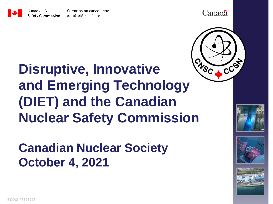

**Canadä** 



## **Disruptive, Innovative and Emerging Technology (DIET) and the Canadian Nuclear Safety Commission**

**Canadian Nuclear Society October 4, 2021**





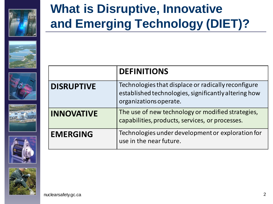

#### **What is Disruptive, Innovative and Emerging Technology (DIET)?**











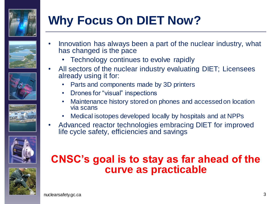

## **Why Focus On DIET Now?**









- Technology continues to evolve rapidly
- All sectors of the nuclear industry evaluating DIET; Licensees already using it for:
	- Parts and components made by 3D printers
	- Drones for "visual" inspections
	- Maintenance history stored on phones and accessed on location via scans
	- Medical isotopes developed locally by hospitals and at NPPs
- Advanced reactor technologies embracing DIET for improved life cycle safety, efficiencies and savings





#### **CNSC's goal is to stay as far ahead of the curve as practicable**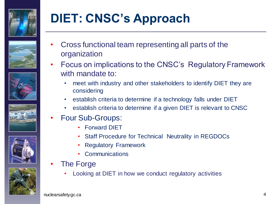











## **DIET: CNSC's Approach**

- Cross functional team representing all parts of the organization
- Focus on implications to the CNSC's Regulatory Framework with mandate to:
	- meet with industry and other stakeholders to identify DIET they are considering
	- establish criteria to determine if a technology falls under DIET
	- establish criteria to determine if a given DIET is relevant to CNSC
- Four Sub-Groups:
	- Forward DIET
	- Staff Procedure for Technical Neutrality in REGDOCs
	- Regulatory Framework
	- **Communications**
- **The Forge** 
	- Looking at DIET in how we conduct regulatory activities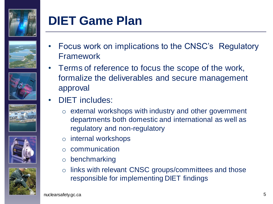

#### **DIET Game Plan**









- Focus work on implications to the CNSC's Regulatory Framework
- Terms of reference to focus the scope of the work, formalize the deliverables and secure management approval
- DIET includes:
	- o external workshops with industry and other government departments both domestic and international as well as regulatory and non-regulatory
	- o internal workshops
	- o communication
	- o benchmarking
	- o links with relevant CNSC groups/committees and those responsible for implementing DIET findings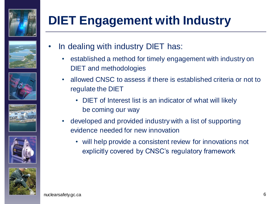

## **DIET Engagement with Industry**











- In dealing with industry DIET has:
	- established a method for timely engagement with industry on DIET and methodologies
	- allowed CNSC to assess if there is established criteria or not to regulate the DIET
		- DIET of Interest list is an indicator of what will likely be coming our way
	- developed and provided industry with a list of supporting evidence needed for new innovation
		- will help provide a consistent review for innovations not explicitly covered by CNSC's regulatory framework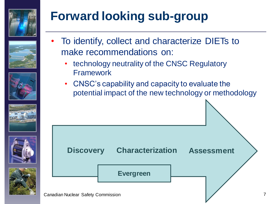

## **Forward looking sub-group**











- To identify, collect and characterize DIETs to make recommendations on:
	- technology neutrality of the CNSC Regulatory Framework
	- CNSC's capability and capacity to evaluate the potential impact of the new technology or methodology

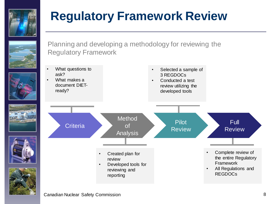

#### **Regulatory Framework Review**



Planning and developing a methodology for reviewing the Regulatory Framework

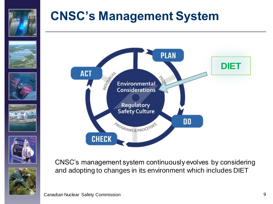

#### **CNSC's Management System**













CNSC's management system continuously evolves by considering and adopting to changes in its environment which includes DIET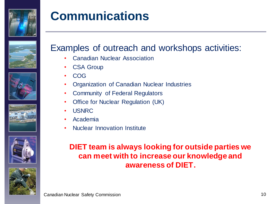

#### **Communications**











#### Examples of outreach and workshops activities:

- Canadian Nuclear Association
- **CSA Group**
- COG
- Organization of Canadian Nuclear Industries
- Community of Federal Regulators
- **Office for Nuclear Regulation (UK)**
- USNRC
- Academia
- Nuclear Innovation Institute

#### **DIET team is always looking for outside parties we can meet with to increase our knowledge and awareness of DIET.**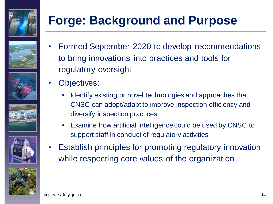











### **Forge: Background and Purpose**

- Formed September 2020 to develop recommendations to bring innovations into practices and tools for regulatory oversight
- Objectives:
	- Identify existing or novel technologies and approaches that CNSC can adopt/adapt to improve inspection efficiency and diversify inspection practices
	- Examine how artificial intelligence could be used by CNSC to support staff in conduct of regulatory activities
- Establish principles for promoting regulatory innovation while respecting core values of the organization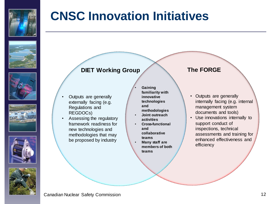

#### **CNSC Innovation Initiatives**











#### **DIET Working Group**

- Outputs are generally externally facing (e.g. Regulations and REGDOCs)
- Assessing the regulatory framework readiness for new technologies and methodologies that may be proposed by industry
- **Gaining familiarity with innovative technologies and**
- **methodologies**
- **Joint outreach activities**
- **Cross-functional and collaborative teams**
- **Many staff are members of both teams**

#### **The FORGE**

- Outputs are generally internally facing (e.g. internal management system documents and tools)
- Use innovations internally to support conduct of inspections, technical assessments and training for enhanced effectiveness and efficiency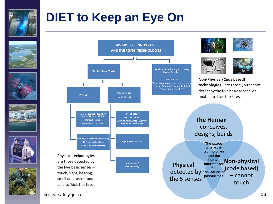

#### **DIET to Keep an Eye On**

















**Non-Physical (Code based) technologies** –are those you cannot detect by the five basic senses, or unable to 'kick-the-tires'.



**The space where the technologies and the human interface for full application of**   $-$  cannot **possibilities** touch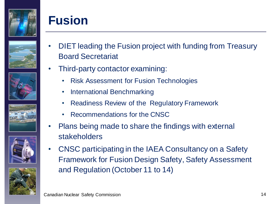

#### **Fusion**











- DIET leading the Fusion project with funding from Treasury Board Secretariat
- Third-party contactor examining:
	- Risk Assessment for Fusion Technologies
	- International Benchmarking
	- Readiness Review of the Regulatory Framework
	- Recommendations for the CNSC
- Plans being made to share the findings with external stakeholders
- CNSC participating in the IAEA Consultancy on a Safety Framework for Fusion Design Safety, Safety Assessment and Regulation (October 11 to 14)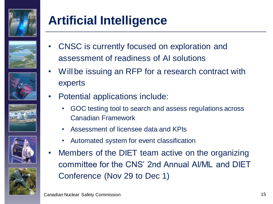

## **Artificial Intelligence**











- CNSC is currently focused on exploration and assessment of readiness of AI solutions
- Will be issuing an RFP for a research contract with experts
- Potential applications include:
	- GOC testing tool to search and assess regulations across Canadian Framework
	- Assessment of licensee data and KPIs
	- Automated system for event classification
- Members of the DIET team active on the organizing committee for the CNS' 2nd Annual AI/ML and DIET Conference (Nov 29 to Dec 1)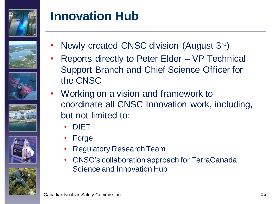

#### **Innovation Hub**











- Newly created CNSC division (August 3rd)
- Reports directly to Peter Elder VP Technical Support Branch and Chief Science Officer for the CNSC
- Working on a vision and framework to coordinate all CNSC Innovation work, including, but not limited to:
	- DIET
	- **Forge**
	- Regulatory Research Team
	- CNSC's collaboration approach for TerraCanada Science and Innovation Hub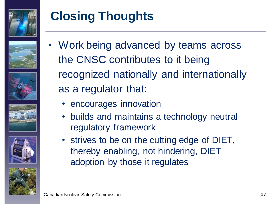

## **Closing Thoughts**











- Work being advanced by teams across the CNSC contributes to it being recognized nationally and internationally as a regulator that:
	- encourages innovation
	- builds and maintains a technology neutral regulatory framework
	- strives to be on the cutting edge of DIET, thereby enabling, not hindering, DIET adoption by those it regulates